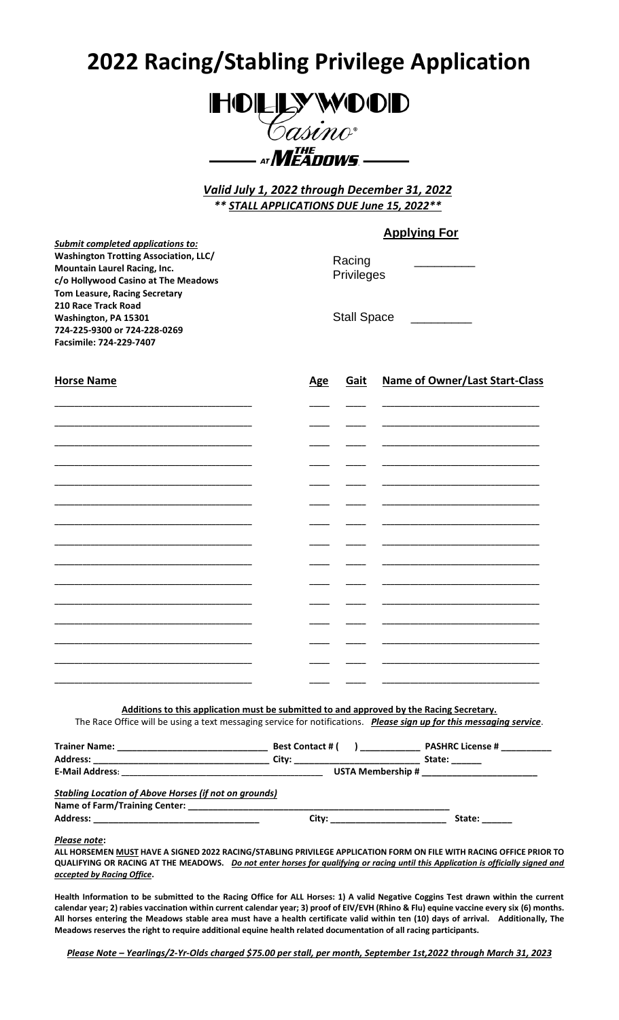# **2022 Racing/Stabling Privilege Application**



*Valid July 1, 2022 through December 31, 2022 \*\* STALL APPLICATIONS DUE June 15, 2022\*\**

# **Applying For**

*Submit completed applications to:* **Washington Trotting Association, LLC/ Mountain Laurel Racing, Inc. c/o Hollywood Casino at The Meadows Tom Leasure, Racing Secretary 210 Race Track Road Washington, PA 15301 724-225-9300 or 724-228-0269 Facsimile: 724-229-7407 Horse Name Age Gait Name of Owner/Last Start-Class** Racing **Privileges** Stall Space

**Additions to this application must be submitted to and approved by the Racing Secretary.** The Race Office will be using a text messaging service for notifications. *Please sign up for this messaging service*.

|                                                                                                              | <b>Best Contact # (</b>         | $\mathbf{r}$                                  | <b>PASHRC License #</b> |  |
|--------------------------------------------------------------------------------------------------------------|---------------------------------|-----------------------------------------------|-------------------------|--|
|                                                                                                              | City: _________________________ |                                               | State:                  |  |
|                                                                                                              |                                 | USTA Membership # ___________________________ |                         |  |
| <b>Stabling Location of Above Horses (if not on grounds)</b>                                                 |                                 |                                               |                         |  |
|                                                                                                              |                                 |                                               |                         |  |
| <b>Address:</b><br>the control of the control of the control of the control of the control of the control of | City:                           | the control of the control of the control of  | State:                  |  |

*Please note***:**

**ALL HORSEMEN MUST HAVE A SIGNED 2022 RACING/STABLING PRIVILEGE APPLICATION FORM ON FILE WITH RACING OFFICE PRIOR TO QUALIFYING OR RACING AT THE MEADOWS.** *Do not enter horses for qualifying or racing until this Application is officially signed and accepted by Racing Office***.** 

**Health Information to be submitted to the Racing Office for ALL Horses: 1) A valid Negative Coggins Test drawn within the current calendar year; 2) rabies vaccination within current calendar year; 3) proof of EIV/EVH (Rhino & Flu) equine vaccine every six (6) months. All horses entering the Meadows stable area must have a health certificate valid within ten (10) days of arrival. Additionally, The Meadows reserves the right to require additional equine health related documentation of all racing participants.** 

*Please Note – Yearlings/2-Yr-Olds charged \$75.00 per stall, per month, September 1st,2022 through March 31, 2023*